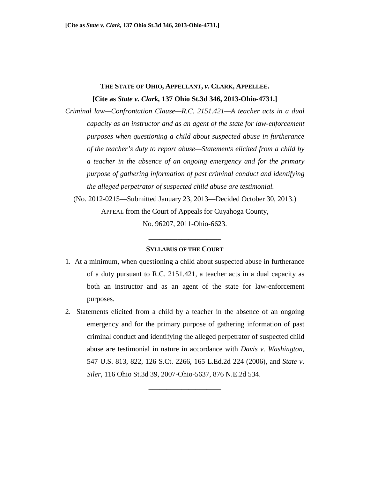## **THE STATE OF OHIO, APPELLANT,** *v***. CLARK, APPELLEE. [Cite as** *State v. Clark,* **137 Ohio St.3d 346, 2013-Ohio-4731.]**

*Criminal law—Confrontation Clause—R.C. 2151.421—A teacher acts in a dual capacity as an instructor and as an agent of the state for law-enforcement purposes when questioning a child about suspected abuse in furtherance of the teacher's duty to report abuse—Statements elicited from a child by a teacher in the absence of an ongoing emergency and for the primary purpose of gathering information of past criminal conduct and identifying the alleged perpetrator of suspected child abuse are testimonial.* 

(No. 2012-0215—Submitted January 23, 2013—Decided October 30, 2013.) APPEAL from the Court of Appeals for Cuyahoga County, No. 96207, 2011-Ohio-6623.

### **SYLLABUS OF THE COURT**

**\_\_\_\_\_\_\_\_\_\_\_\_\_\_\_\_\_\_\_\_** 

- 1. At a minimum, when questioning a child about suspected abuse in furtherance of a duty pursuant to R.C. 2151.421, a teacher acts in a dual capacity as both an instructor and as an agent of the state for law-enforcement purposes.
- 2. Statements elicited from a child by a teacher in the absence of an ongoing emergency and for the primary purpose of gathering information of past criminal conduct and identifying the alleged perpetrator of suspected child abuse are testimonial in nature in accordance with *Davis v. Washington*, 547 U.S. 813, 822, 126 S.Ct. 2266, 165 L.Ed.2d 224 (2006), and *State v. Siler,* 116 Ohio St.3d 39, 2007-Ohio-5637, 876 N.E.2d 534.

**\_\_\_\_\_\_\_\_\_\_\_\_\_\_\_\_\_\_\_\_**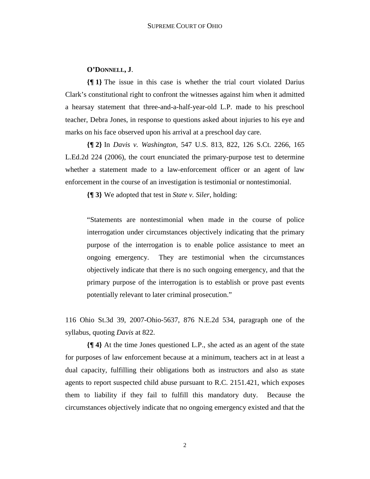## **O'DONNELL, J**.

**{¶ 1}** The issue in this case is whether the trial court violated Darius Clark's constitutional right to confront the witnesses against him when it admitted a hearsay statement that three-and-a-half-year-old L.P. made to his preschool teacher, Debra Jones, in response to questions asked about injuries to his eye and marks on his face observed upon his arrival at a preschool day care.

**{¶ 2}** In *Davis v. Washington*, 547 U.S. 813, 822, 126 S.Ct. 2266, 165 L.Ed.2d 224 (2006), the court enunciated the primary-purpose test to determine whether a statement made to a law-enforcement officer or an agent of law enforcement in the course of an investigation is testimonial or nontestimonial.

**{¶ 3}** We adopted that test in *State v. Siler*, holding:

"Statements are nontestimonial when made in the course of police interrogation under circumstances objectively indicating that the primary purpose of the interrogation is to enable police assistance to meet an ongoing emergency. They are testimonial when the circumstances objectively indicate that there is no such ongoing emergency, and that the primary purpose of the interrogation is to establish or prove past events potentially relevant to later criminal prosecution."

116 Ohio St.3d 39, 2007-Ohio-5637, 876 N.E.2d 534, paragraph one of the syllabus, quoting *Davis* at 822.

**{¶ 4}** At the time Jones questioned L.P., she acted as an agent of the state for purposes of law enforcement because at a minimum, teachers act in at least a dual capacity, fulfilling their obligations both as instructors and also as state agents to report suspected child abuse pursuant to R.C. 2151.421, which exposes them to liability if they fail to fulfill this mandatory duty. Because the circumstances objectively indicate that no ongoing emergency existed and that the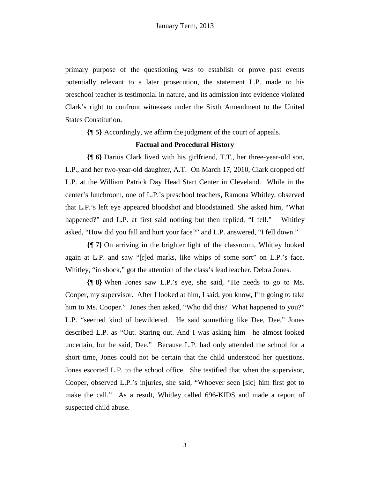primary purpose of the questioning was to establish or prove past events potentially relevant to a later prosecution, the statement L.P. made to his preschool teacher is testimonial in nature, and its admission into evidence violated Clark's right to confront witnesses under the Sixth Amendment to the United States Constitution.

**{¶ 5}** Accordingly, we affirm the judgment of the court of appeals.

#### **Factual and Procedural History**

**{¶ 6}** Darius Clark lived with his girlfriend, T.T., her three-year-old son, L.P., and her two-year-old daughter, A.T. On March 17, 2010, Clark dropped off L.P. at the William Patrick Day Head Start Center in Cleveland. While in the center's lunchroom, one of L.P.'s preschool teachers, Ramona Whitley, observed that L.P.'s left eye appeared bloodshot and bloodstained. She asked him, "What happened?" and L.P. at first said nothing but then replied, "I fell." Whitley asked, "How did you fall and hurt your face?" and L.P. answered, "I fell down."

**{¶ 7}** On arriving in the brighter light of the classroom, Whitley looked again at L.P. and saw "[r]ed marks, like whips of some sort" on L.P.'s face. Whitley, "in shock," got the attention of the class's lead teacher, Debra Jones.

**{¶ 8}** When Jones saw L.P.'s eye, she said, "He needs to go to Ms. Cooper, my supervisor. After I looked at him, I said, you know, I'm going to take him to Ms. Cooper." Jones then asked, "Who did this? What happened to you?" L.P. "seemed kind of bewildered. He said something like Dee, Dee." Jones described L.P. as "Out. Staring out. And I was asking him—he almost looked uncertain, but he said, Dee." Because L.P. had only attended the school for a short time, Jones could not be certain that the child understood her questions. Jones escorted L.P. to the school office. She testified that when the supervisor, Cooper, observed L.P.'s injuries, she said, "Whoever seen [sic] him first got to make the call." As a result, Whitley called 696-KIDS and made a report of suspected child abuse.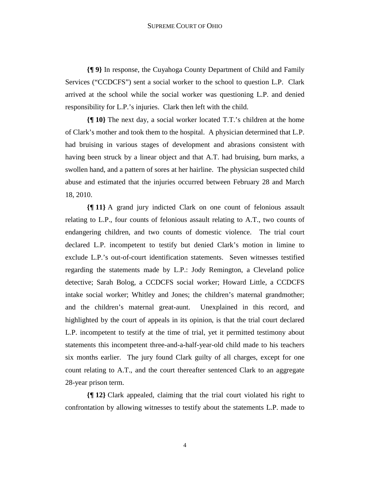**{¶ 9}** In response, the Cuyahoga County Department of Child and Family Services ("CCDCFS") sent a social worker to the school to question L.P. Clark arrived at the school while the social worker was questioning L.P. and denied responsibility for L.P.'s injuries. Clark then left with the child.

**{¶ 10}** The next day, a social worker located T.T.'s children at the home of Clark's mother and took them to the hospital. A physician determined that L.P. had bruising in various stages of development and abrasions consistent with having been struck by a linear object and that A.T. had bruising, burn marks, a swollen hand, and a pattern of sores at her hairline. The physician suspected child abuse and estimated that the injuries occurred between February 28 and March 18, 2010.

**{¶ 11}** A grand jury indicted Clark on one count of felonious assault relating to L.P., four counts of felonious assault relating to A.T., two counts of endangering children, and two counts of domestic violence. The trial court declared L.P. incompetent to testify but denied Clark's motion in limine to exclude L.P.'s out-of-court identification statements. Seven witnesses testified regarding the statements made by L.P.: Jody Remington, a Cleveland police detective; Sarah Bolog, a CCDCFS social worker; Howard Little, a CCDCFS intake social worker; Whitley and Jones; the children's maternal grandmother; and the children's maternal great-aunt. Unexplained in this record, and highlighted by the court of appeals in its opinion, is that the trial court declared L.P. incompetent to testify at the time of trial, yet it permitted testimony about statements this incompetent three-and-a-half-year-old child made to his teachers six months earlier. The jury found Clark guilty of all charges, except for one count relating to A.T., and the court thereafter sentenced Clark to an aggregate 28-year prison term.

**{¶ 12}** Clark appealed, claiming that the trial court violated his right to confrontation by allowing witnesses to testify about the statements L.P. made to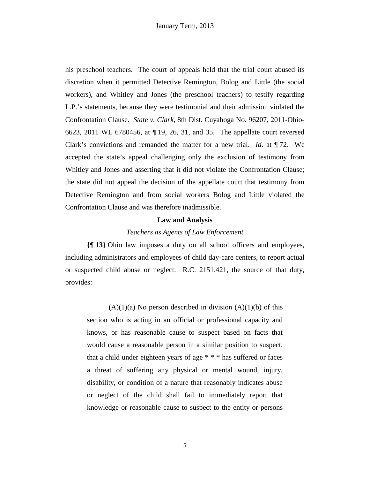his preschool teachers. The court of appeals held that the trial court abused its discretion when it permitted Detective Remington, Bolog and Little (the social workers), and Whitley and Jones (the preschool teachers) to testify regarding L.P.'s statements, because they were testimonial and their admission violated the Confrontation Clause. *State v. Clark*, 8th Dist. Cuyahoga No. 96207, 2011-Ohio-6623, 2011 WL 6780456, at ¶ 19, 26, 31, and 35. The appellate court reversed Clark's convictions and remanded the matter for a new trial. *Id.* at ¶ 72. We accepted the state's appeal challenging only the exclusion of testimony from Whitley and Jones and asserting that it did not violate the Confrontation Clause; the state did not appeal the decision of the appellate court that testimony from Detective Remington and from social workers Bolog and Little violated the Confrontation Clause and was therefore inadmissible.

## **Law and Analysis**

#### *Teachers as Agents of Law Enforcement*

**{¶ 13}** Ohio law imposes a duty on all school officers and employees, including administrators and employees of child day-care centers, to report actual or suspected child abuse or neglect. R.C. 2151.421, the source of that duty, provides:

 $(A)(1)(a)$  No person described in division  $(A)(1)(b)$  of this section who is acting in an official or professional capacity and knows, or has reasonable cause to suspect based on facts that would cause a reasonable person in a similar position to suspect, that a child under eighteen years of age \* \* \* has suffered or faces a threat of suffering any physical or mental wound, injury, disability, or condition of a nature that reasonably indicates abuse or neglect of the child shall fail to immediately report that knowledge or reasonable cause to suspect to the entity or persons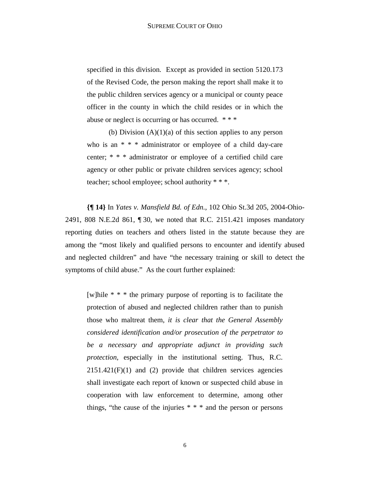specified in this division. Except as provided in section 5120.173 of the Revised Code, the person making the report shall make it to the public children services agency or a municipal or county peace officer in the county in which the child resides or in which the abuse or neglect is occurring or has occurred. \* \* \*

(b) Division  $(A)(1)(a)$  of this section applies to any person who is an \* \* \* administrator or employee of a child day-care center; \* \* \* administrator or employee of a certified child care agency or other public or private children services agency; school teacher; school employee; school authority \* \* \*.

**{¶ 14}** In *Yates v. Mansfield Bd. of Edn.*, 102 Ohio St.3d 205, 2004-Ohio-2491, 808 N.E.2d 861, ¶ 30, we noted that R.C. 2151.421 imposes mandatory reporting duties on teachers and others listed in the statute because they are among the "most likely and qualified persons to encounter and identify abused and neglected children" and have "the necessary training or skill to detect the symptoms of child abuse." As the court further explained:

[w]hile \* \* \* the primary purpose of reporting is to facilitate the protection of abused and neglected children rather than to punish those who maltreat them, *it is clear that the General Assembly considered identification and/or prosecution of the perpetrator to be a necessary and appropriate adjunct in providing such protection*, especially in the institutional setting. Thus, R.C.  $2151.421(F)(1)$  and (2) provide that children services agencies shall investigate each report of known or suspected child abuse in cooperation with law enforcement to determine, among other things, "the cause of the injuries \* \* \* and the person or persons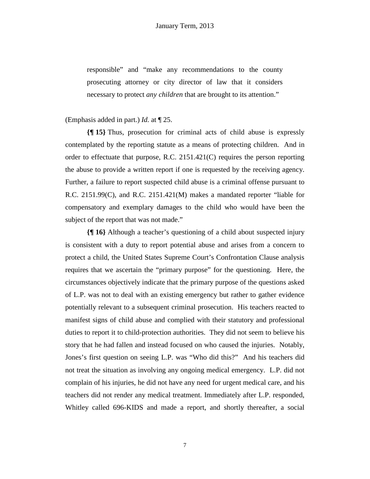responsible" and "make any recommendations to the county prosecuting attorney or city director of law that it considers necessary to protect *any children* that are brought to its attention."

### (Emphasis added in part.) *Id.* at ¶ 25.

**{¶ 15}** Thus, prosecution for criminal acts of child abuse is expressly contemplated by the reporting statute as a means of protecting children. And in order to effectuate that purpose, R.C. 2151.421(C) requires the person reporting the abuse to provide a written report if one is requested by the receiving agency. Further, a failure to report suspected child abuse is a criminal offense pursuant to R.C. 2151.99(C), and R.C. 2151.421(M) makes a mandated reporter "liable for compensatory and exemplary damages to the child who would have been the subject of the report that was not made."

**{¶ 16}** Although a teacher's questioning of a child about suspected injury is consistent with a duty to report potential abuse and arises from a concern to protect a child, the United States Supreme Court's Confrontation Clause analysis requires that we ascertain the "primary purpose" for the questioning. Here, the circumstances objectively indicate that the primary purpose of the questions asked of L.P. was not to deal with an existing emergency but rather to gather evidence potentially relevant to a subsequent criminal prosecution. His teachers reacted to manifest signs of child abuse and complied with their statutory and professional duties to report it to child-protection authorities. They did not seem to believe his story that he had fallen and instead focused on who caused the injuries. Notably, Jones's first question on seeing L.P. was "Who did this?" And his teachers did not treat the situation as involving any ongoing medical emergency. L.P. did not complain of his injuries, he did not have any need for urgent medical care, and his teachers did not render any medical treatment. Immediately after L.P. responded, Whitley called 696-KIDS and made a report, and shortly thereafter, a social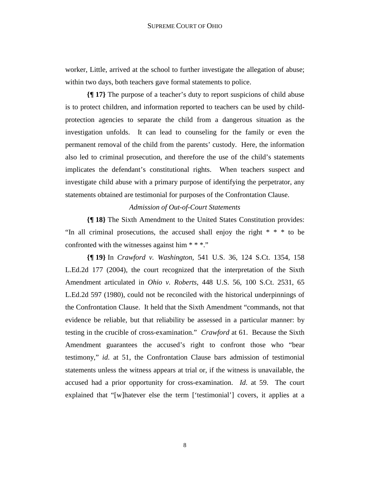worker, Little, arrived at the school to further investigate the allegation of abuse; within two days, both teachers gave formal statements to police.

**{¶ 17}** The purpose of a teacher's duty to report suspicions of child abuse is to protect children, and information reported to teachers can be used by childprotection agencies to separate the child from a dangerous situation as the investigation unfolds. It can lead to counseling for the family or even the permanent removal of the child from the parents' custody. Here, the information also led to criminal prosecution, and therefore the use of the child's statements implicates the defendant's constitutional rights. When teachers suspect and investigate child abuse with a primary purpose of identifying the perpetrator, any statements obtained are testimonial for purposes of the Confrontation Clause.

## *Admission of Out-of-Court Statements*

**{¶ 18}** The Sixth Amendment to the United States Constitution provides: "In all criminal prosecutions, the accused shall enjoy the right  $* * *$  to be confronted with the witnesses against him \* \* \*."

**{¶ 19}** In *Crawford v. Washington,* 541 U.S. 36, 124 S.Ct. 1354, 158 L.Ed.2d 177 (2004), the court recognized that the interpretation of the Sixth Amendment articulated in *Ohio v. Roberts*, 448 U.S. 56, 100 S.Ct. 2531, 65 L.Ed.2d 597 (1980), could not be reconciled with the historical underpinnings of the Confrontation Clause. It held that the Sixth Amendment "commands, not that evidence be reliable, but that reliability be assessed in a particular manner: by testing in the crucible of cross-examination." *Crawford* at 61. Because the Sixth Amendment guarantees the accused's right to confront those who "bear testimony," *id*. at 51, the Confrontation Clause bars admission of testimonial statements unless the witness appears at trial or, if the witness is unavailable, the accused had a prior opportunity for cross-examination. *Id*. at 59. The court explained that "[w]hatever else the term ['testimonial'] covers, it applies at a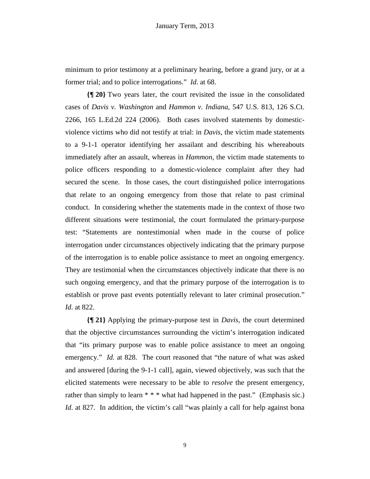minimum to prior testimony at a preliminary hearing, before a grand jury, or at a former trial; and to police interrogations." *Id*. at 68.

**{¶ 20}** Two years later, the court revisited the issue in the consolidated cases of *Davis v. Washington* and *Hammon v. Indiana*, 547 U.S. 813, 126 S.Ct. 2266, 165 L.Ed.2d 224 (2006). Both cases involved statements by domesticviolence victims who did not testify at trial: in *Davis*, the victim made statements to a 9-1-1 operator identifying her assailant and describing his whereabouts immediately after an assault, whereas in *Hammon*, the victim made statements to police officers responding to a domestic-violence complaint after they had secured the scene. In those cases, the court distinguished police interrogations that relate to an ongoing emergency from those that relate to past criminal conduct. In considering whether the statements made in the context of those two different situations were testimonial, the court formulated the primary-purpose test: "Statements are nontestimonial when made in the course of police interrogation under circumstances objectively indicating that the primary purpose of the interrogation is to enable police assistance to meet an ongoing emergency. They are testimonial when the circumstances objectively indicate that there is no such ongoing emergency, and that the primary purpose of the interrogation is to establish or prove past events potentially relevant to later criminal prosecution." *Id*. at 822.

**{¶ 21}** Applying the primary-purpose test in *Davis*, the court determined that the objective circumstances surrounding the victim's interrogation indicated that "its primary purpose was to enable police assistance to meet an ongoing emergency." *Id.* at 828. The court reasoned that "the nature of what was asked and answered [during the 9-1-1 call], again, viewed objectively, was such that the elicited statements were necessary to be able to *resolve* the present emergency, rather than simply to learn  $**$  \* what had happened in the past." (Emphasis sic.) *Id.* at 827. In addition, the victim's call "was plainly a call for help against bona"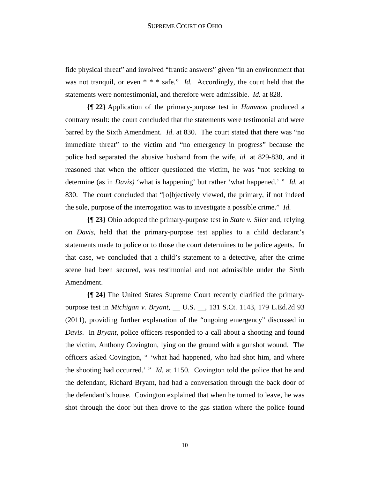fide physical threat" and involved "frantic answers" given "in an environment that was not tranquil, or even \* \* \* safe." *Id.* Accordingly, the court held that the statements were nontestimonial, and therefore were admissible. *Id.* at 828.

**{¶ 22}** Application of the primary-purpose test in *Hammon* produced a contrary result: the court concluded that the statements were testimonial and were barred by the Sixth Amendment. *Id*. at 830. The court stated that there was "no immediate threat" to the victim and "no emergency in progress" because the police had separated the abusive husband from the wife, *id.* at 829-830, and it reasoned that when the officer questioned the victim, he was "not seeking to determine (as in *Davis)* 'what is happening' but rather 'what happened.' " *Id.* at 830. The court concluded that "[o]bjectively viewed, the primary, if not indeed the sole, purpose of the interrogation was to investigate a possible crime." *Id.* 

**{¶ 23}** Ohio adopted the primary-purpose test in *State v. Siler* and, relying on *Davis*, held that the primary-purpose test applies to a child declarant's statements made to police or to those the court determines to be police agents. In that case, we concluded that a child's statement to a detective, after the crime scene had been secured, was testimonial and not admissible under the Sixth Amendment.

**{¶ 24}** The United States Supreme Court recently clarified the primarypurpose test in *Michigan v. Bryant*, \_\_ U.S. \_\_, 131 S.Ct. 1143, 179 L.Ed.2d 93 (2011), providing further explanation of the "ongoing emergency" discussed in *Davis*. In *Bryant*, police officers responded to a call about a shooting and found the victim, Anthony Covington, lying on the ground with a gunshot wound. The officers asked Covington, " 'what had happened, who had shot him, and where the shooting had occurred.' " *Id.* at 1150. Covington told the police that he and the defendant, Richard Bryant, had had a conversation through the back door of the defendant's house. Covington explained that when he turned to leave, he was shot through the door but then drove to the gas station where the police found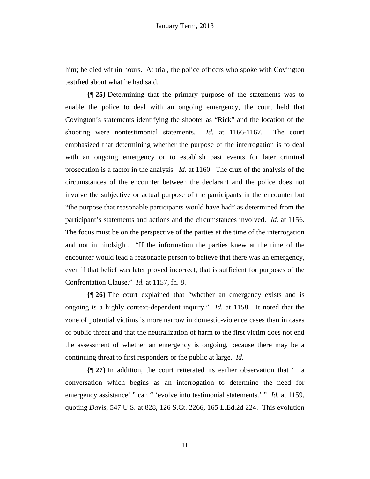him; he died within hours. At trial, the police officers who spoke with Covington testified about what he had said.

**{¶ 25}** Determining that the primary purpose of the statements was to enable the police to deal with an ongoing emergency, the court held that Covington's statements identifying the shooter as "Rick" and the location of the shooting were nontestimonial statements. *Id.* at 1166-1167. The court emphasized that determining whether the purpose of the interrogation is to deal with an ongoing emergency or to establish past events for later criminal prosecution is a factor in the analysis. *Id.* at 1160. The crux of the analysis of the circumstances of the encounter between the declarant and the police does not involve the subjective or actual purpose of the participants in the encounter but "the purpose that reasonable participants would have had" as determined from the participant's statements and actions and the circumstances involved. *Id.* at 1156. The focus must be on the perspective of the parties at the time of the interrogation and not in hindsight. "If the information the parties knew at the time of the encounter would lead a reasonable person to believe that there was an emergency, even if that belief was later proved incorrect, that is sufficient for purposes of the Confrontation Clause." *Id.* at 1157, fn. 8.

**{¶ 26}** The court explained that "whether an emergency exists and is ongoing is a highly context-dependent inquiry." *Id*. at 1158. It noted that the zone of potential victims is more narrow in domestic-violence cases than in cases of public threat and that the neutralization of harm to the first victim does not end the assessment of whether an emergency is ongoing, because there may be a continuing threat to first responders or the public at large. *Id.* 

**{¶ 27}** In addition, the court reiterated its earlier observation that " 'a conversation which begins as an interrogation to determine the need for emergency assistance' " can " 'evolve into testimonial statements.' " *Id.* at 1159, quoting *Davis*, 547 U.S. at 828, 126 S.Ct. 2266, 165 L.Ed.2d 224. This evolution

11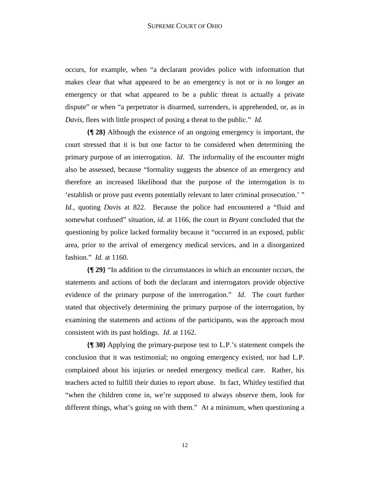occurs, for example, when "a declarant provides police with information that makes clear that what appeared to be an emergency is not or is no longer an emergency or that what appeared to be a public threat is actually a private dispute" or when "a perpetrator is disarmed, surrenders, is apprehended, or, as in *Davis*, flees with little prospect of posing a threat to the public." *Id.*

**{¶ 28}** Although the existence of an ongoing emergency is important, the court stressed that it is but one factor to be considered when determining the primary purpose of an interrogation. *Id*. The informality of the encounter might also be assessed, because "formality suggests the absence of an emergency and therefore an increased likelihood that the purpose of the interrogation is to 'establish or prove past events potentially relevant to later criminal prosecution.' " *Id.*, quoting *Davis* at 822. Because the police had encountered a "fluid and somewhat confused" situation, *id*. at 1166, the court in *Bryant* concluded that the questioning by police lacked formality because it "occurred in an exposed, public area, prior to the arrival of emergency medical services, and in a disorganized fashion." *Id.* at 1160.

**{¶ 29}** "In addition to the circumstances in which an encounter occurs, the statements and actions of both the declarant and interrogators provide objective evidence of the primary purpose of the interrogation." *Id*. The court further stated that objectively determining the primary purpose of the interrogation, by examining the statements and actions of the participants, was the approach most consistent with its past holdings. *Id.* at 1162.

**{¶ 30}** Applying the primary-purpose test to L.P.'s statement compels the conclusion that it was testimonial; no ongoing emergency existed, nor had L.P. complained about his injuries or needed emergency medical care. Rather, his teachers acted to fulfill their duties to report abuse. In fact, Whitley testified that "when the children come in, we're supposed to always observe them, look for different things, what's going on with them." At a minimum, when questioning a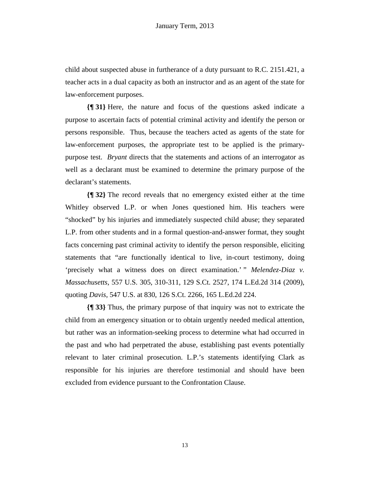child about suspected abuse in furtherance of a duty pursuant to R.C. 2151.421, a teacher acts in a dual capacity as both an instructor and as an agent of the state for law-enforcement purposes.

**{¶ 31}** Here, the nature and focus of the questions asked indicate a purpose to ascertain facts of potential criminal activity and identify the person or persons responsible. Thus, because the teachers acted as agents of the state for law-enforcement purposes, the appropriate test to be applied is the primarypurpose test. *Bryant* directs that the statements and actions of an interrogator as well as a declarant must be examined to determine the primary purpose of the declarant's statements.

**{¶ 32}** The record reveals that no emergency existed either at the time Whitley observed L.P. or when Jones questioned him. His teachers were "shocked" by his injuries and immediately suspected child abuse; they separated L.P. from other students and in a formal question-and-answer format, they sought facts concerning past criminal activity to identify the person responsible, eliciting statements that "are functionally identical to live, in-court testimony, doing 'precisely what a witness does on direct examination.' " *Melendez-Diaz v*. *Massachusetts*, 557 U.S. 305, 310-311, 129 S.Ct. 2527, 174 L.Ed.2d 314 (2009), quoting *Davis*, 547 U.S. at 830, 126 S.Ct. 2266, 165 L.Ed.2d 224.

**{¶ 33}** Thus, the primary purpose of that inquiry was not to extricate the child from an emergency situation or to obtain urgently needed medical attention, but rather was an information-seeking process to determine what had occurred in the past and who had perpetrated the abuse, establishing past events potentially relevant to later criminal prosecution. L.P.'s statements identifying Clark as responsible for his injuries are therefore testimonial and should have been excluded from evidence pursuant to the Confrontation Clause.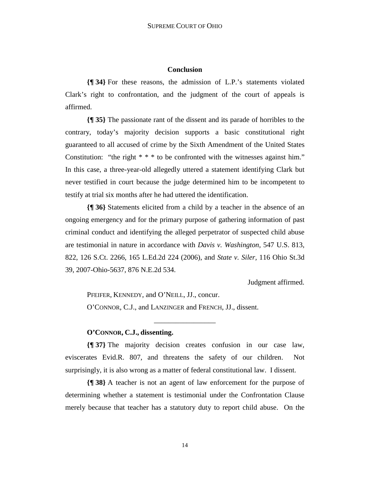#### **Conclusion**

**{¶ 34}** For these reasons, the admission of L.P.'s statements violated Clark's right to confrontation, and the judgment of the court of appeals is affirmed.

**{¶ 35}** The passionate rant of the dissent and its parade of horribles to the contrary, today's majority decision supports a basic constitutional right guaranteed to all accused of crime by the Sixth Amendment of the United States Constitution: "the right  $* * *$  to be confronted with the witnesses against him." In this case, a three-year-old allegedly uttered a statement identifying Clark but never testified in court because the judge determined him to be incompetent to testify at trial six months after he had uttered the identification.

**{¶ 36}** Statements elicited from a child by a teacher in the absence of an ongoing emergency and for the primary purpose of gathering information of past criminal conduct and identifying the alleged perpetrator of suspected child abuse are testimonial in nature in accordance with *Davis v. Washington*, 547 U.S. 813, 822, 126 S.Ct. 2266, 165 L.Ed.2d 224 (2006), and *State v. Siler,* 116 Ohio St.3d 39, 2007-Ohio-5637, 876 N.E.2d 534.

Judgment affirmed.

PFEIFER, KENNEDY, and O'NEILL, JJ., concur. O'CONNOR, C.J., and LANZINGER and FRENCH, JJ., dissent.

### **O'CONNOR, C.J., dissenting.**

**{¶ 37}** The majority decision creates confusion in our case law, eviscerates Evid.R. 807, and threatens the safety of our children. Not surprisingly, it is also wrong as a matter of federal constitutional law. I dissent.

\_\_\_\_\_\_\_\_\_\_\_\_\_\_\_\_\_

**{¶ 38}** A teacher is not an agent of law enforcement for the purpose of determining whether a statement is testimonial under the Confrontation Clause merely because that teacher has a statutory duty to report child abuse. On the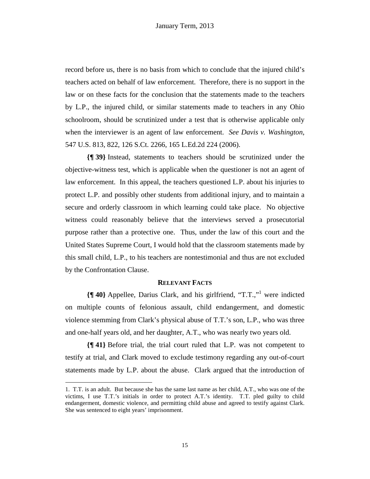record before us, there is no basis from which to conclude that the injured child's teachers acted on behalf of law enforcement. Therefore, there is no support in the law or on these facts for the conclusion that the statements made to the teachers by L.P., the injured child, or similar statements made to teachers in any Ohio schoolroom, should be scrutinized under a test that is otherwise applicable only when the interviewer is an agent of law enforcement. *See Davis v. Washington*, 547 U.S. 813, 822, 126 S.Ct. 2266, 165 L.Ed.2d 224 (2006).

**{¶ 39}** Instead, statements to teachers should be scrutinized under the objective-witness test, which is applicable when the questioner is not an agent of law enforcement. In this appeal, the teachers questioned L.P. about his injuries to protect L.P. and possibly other students from additional injury, and to maintain a secure and orderly classroom in which learning could take place. No objective witness could reasonably believe that the interviews served a prosecutorial purpose rather than a protective one. Thus, under the law of this court and the United States Supreme Court, I would hold that the classroom statements made by this small child, L.P., to his teachers are nontestimonial and thus are not excluded by the Confrontation Clause.

### **RELEVANT FACTS**

**{¶ 40}** Appellee, Darius Clark, and his girlfriend, "T.T.,"1 were indicted on multiple counts of felonious assault, child endangerment, and domestic violence stemming from Clark's physical abuse of T.T.'s son, L.P., who was three and one-half years old, and her daughter, A.T., who was nearly two years old.

**{¶ 41}** Before trial, the trial court ruled that L.P. was not competent to testify at trial, and Clark moved to exclude testimony regarding any out-of-court statements made by L.P. about the abuse. Clark argued that the introduction of

1

<sup>1.</sup> T.T. is an adult. But because she has the same last name as her child, A.T., who was one of the victims, I use T.T.'s initials in order to protect A.T.'s identity. T.T. pled guilty to child endangerment, domestic violence, and permitting child abuse and agreed to testify against Clark. She was sentenced to eight years' imprisonment.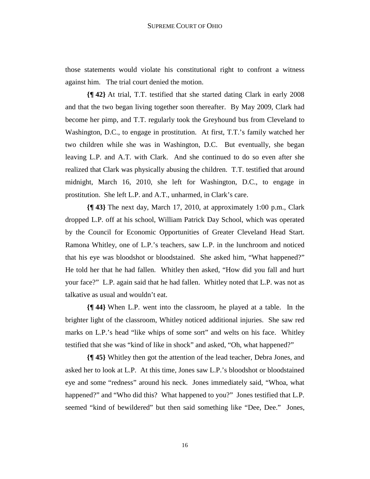those statements would violate his constitutional right to confront a witness against him. The trial court denied the motion.

**{¶ 42}** At trial, T.T. testified that she started dating Clark in early 2008 and that the two began living together soon thereafter. By May 2009, Clark had become her pimp, and T.T. regularly took the Greyhound bus from Cleveland to Washington, D.C., to engage in prostitution. At first, T.T.'s family watched her two children while she was in Washington, D.C. But eventually, she began leaving L.P. and A.T. with Clark. And she continued to do so even after she realized that Clark was physically abusing the children. T.T. testified that around midnight, March 16, 2010, she left for Washington, D.C., to engage in prostitution. She left L.P. and A.T., unharmed, in Clark's care.

**{¶ 43}** The next day, March 17, 2010, at approximately 1:00 p.m., Clark dropped L.P. off at his school, William Patrick Day School, which was operated by the Council for Economic Opportunities of Greater Cleveland Head Start. Ramona Whitley, one of L.P.'s teachers, saw L.P. in the lunchroom and noticed that his eye was bloodshot or bloodstained. She asked him, "What happened?" He told her that he had fallen. Whitley then asked, "How did you fall and hurt your face?" L.P. again said that he had fallen. Whitley noted that L.P. was not as talkative as usual and wouldn't eat.

**{¶ 44}** When L.P. went into the classroom, he played at a table. In the brighter light of the classroom, Whitley noticed additional injuries. She saw red marks on L.P.'s head "like whips of some sort" and welts on his face. Whitley testified that she was "kind of like in shock" and asked, "Oh, what happened?"

**{¶ 45}** Whitley then got the attention of the lead teacher, Debra Jones, and asked her to look at L.P. At this time, Jones saw L.P.'s bloodshot or bloodstained eye and some "redness" around his neck. Jones immediately said, "Whoa, what happened?" and "Who did this? What happened to you?" Jones testified that L.P. seemed "kind of bewildered" but then said something like "Dee, Dee." Jones,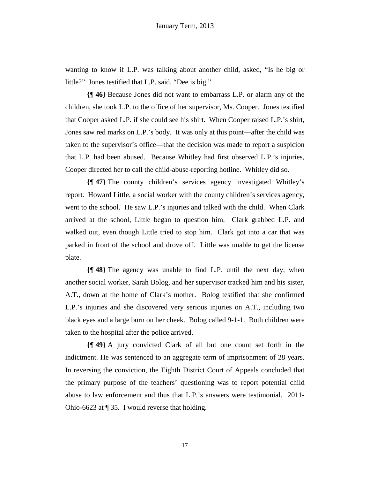wanting to know if L.P. was talking about another child, asked, "Is he big or little?" Jones testified that L.P. said, "Dee is big."

**{¶ 46}** Because Jones did not want to embarrass L.P. or alarm any of the children, she took L.P. to the office of her supervisor, Ms. Cooper. Jones testified that Cooper asked L.P. if she could see his shirt. When Cooper raised L.P.'s shirt, Jones saw red marks on L.P.'s body. It was only at this point—after the child was taken to the supervisor's office—that the decision was made to report a suspicion that L.P. had been abused. Because Whitley had first observed L.P.'s injuries, Cooper directed her to call the child-abuse-reporting hotline. Whitley did so.

**{¶ 47}** The county children's services agency investigated Whitley's report. Howard Little, a social worker with the county children's services agency, went to the school. He saw L.P.'s injuries and talked with the child. When Clark arrived at the school, Little began to question him. Clark grabbed L.P. and walked out, even though Little tried to stop him. Clark got into a car that was parked in front of the school and drove off. Little was unable to get the license plate.

**{¶ 48}** The agency was unable to find L.P. until the next day, when another social worker, Sarah Bolog, and her supervisor tracked him and his sister, A.T., down at the home of Clark's mother. Bolog testified that she confirmed L.P.'s injuries and she discovered very serious injuries on A.T., including two black eyes and a large burn on her cheek. Bolog called 9-1-1. Both children were taken to the hospital after the police arrived.

**{¶ 49}** A jury convicted Clark of all but one count set forth in the indictment. He was sentenced to an aggregate term of imprisonment of 28 years. In reversing the conviction, the Eighth District Court of Appeals concluded that the primary purpose of the teachers' questioning was to report potential child abuse to law enforcement and thus that L.P.'s answers were testimonial. 2011- Ohio-6623 at ¶ 35. I would reverse that holding.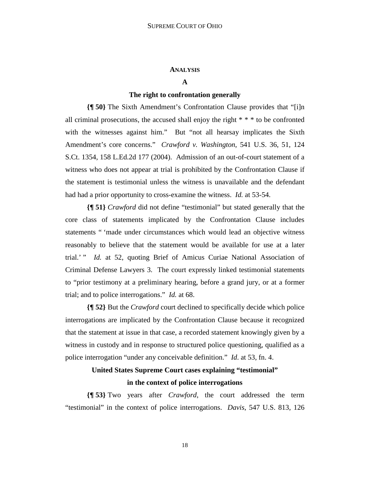#### **ANALYSIS**

## **A**

#### **The right to confrontation generally**

**{¶ 50}** The Sixth Amendment's Confrontation Clause provides that "[i]n all criminal prosecutions, the accused shall enjoy the right \* \* \* to be confronted with the witnesses against him." But "not all hearsay implicates the Sixth Amendment's core concerns." *Crawford v. Washington*, 541 U.S. 36, 51, 124 S.Ct. 1354, 158 L.Ed.2d 177 (2004). Admission of an out-of-court statement of a witness who does not appear at trial is prohibited by the Confrontation Clause if the statement is testimonial unless the witness is unavailable and the defendant had had a prior opportunity to cross-examine the witness. *Id.* at 53-54.

**{¶ 51}** *Crawford* did not define "testimonial" but stated generally that the core class of statements implicated by the Confrontation Clause includes statements " 'made under circumstances which would lead an objective witness reasonably to believe that the statement would be available for use at a later trial.' " *Id.* at 52, quoting Brief of Amicus Curiae National Association of Criminal Defense Lawyers 3. The court expressly linked testimonial statements to "prior testimony at a preliminary hearing, before a grand jury, or at a former trial; and to police interrogations." *Id.* at 68.

**{¶ 52}** But the *Crawford* court declined to specifically decide which police interrogations are implicated by the Confrontation Clause because it recognized that the statement at issue in that case, a recorded statement knowingly given by a witness in custody and in response to structured police questioning, qualified as a police interrogation "under any conceivable definition." *Id*. at 53, fn. 4.

## **United States Supreme Court cases explaining "testimonial" in the context of police interrogations**

**{¶ 53}** Two years after *Crawford*, the court addressed the term "testimonial" in the context of police interrogations. *Davis*, 547 U.S. 813, 126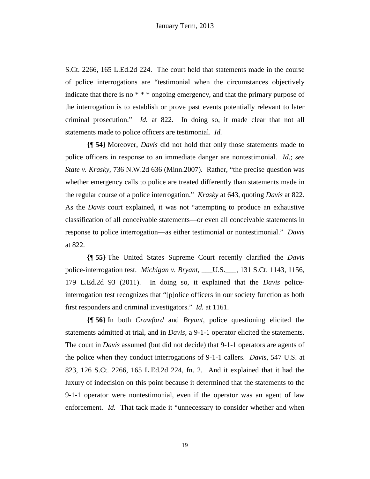S.Ct. 2266, 165 L.Ed.2d 224.The court held that statements made in the course of police interrogations are "testimonial when the circumstances objectively indicate that there is no \* \* \* ongoing emergency, and that the primary purpose of the interrogation is to establish or prove past events potentially relevant to later criminal prosecution." *Id.* at 822. In doing so, it made clear that not all statements made to police officers are testimonial. *Id.*

**{¶ 54}** Moreover, *Davis* did not hold that only those statements made to police officers in response to an immediate danger are nontestimonial. *Id*.; *see State v. Krasky*, 736 N.W.2d 636 (Minn.2007). Rather, "the precise question was whether emergency calls to police are treated differently than statements made in the regular course of a police interrogation." *Krasky* at 643, quoting *Davis* at 822. As the *Davis* court explained, it was not "attempting to produce an exhaustive classification of all conceivable statements—or even all conceivable statements in response to police interrogation—as either testimonial or nontestimonial." *Davis* at 822.

**{¶ 55}** The United States Supreme Court recently clarified the *Davis* police-interrogation test. *Michigan v. Bryant*, \_\_\_U.S.\_\_\_, 131 S.Ct. 1143, 1156, 179 L.Ed.2d 93 (2011). In doing so, it explained that the *Davis* policeinterrogation test recognizes that "[p]olice officers in our society function as both first responders and criminal investigators." *Id.* at 1161.

**{¶ 56}** In both *Crawford* and *Bryant*, police questioning elicited the statements admitted at trial, and in *Davis*, a 9-1-1 operator elicited the statements. The court in *Davis* assumed (but did not decide) that 9-1-1 operators are agents of the police when they conduct interrogations of 9-1-1 callers. *Davis*, 547 U.S. at 823, 126 S.Ct. 2266, 165 L.Ed.2d 224, fn. 2. And it explained that it had the luxury of indecision on this point because it determined that the statements to the 9-1-1 operator were nontestimonial, even if the operator was an agent of law enforcement. *Id.* That tack made it "unnecessary to consider whether and when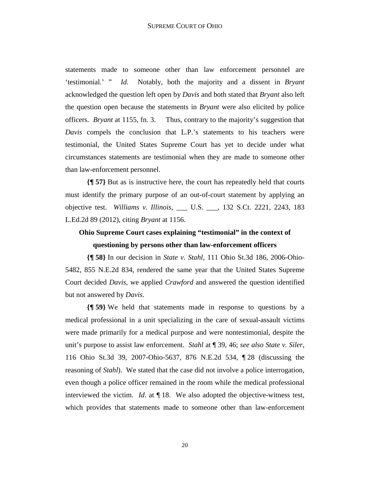statements made to someone other than law enforcement personnel are 'testimonial.' " *Id.* Notably, both the majority and a dissent in *Bryant* acknowledged the question left open by *Davis* and both stated that *Bryant* also left the question open because the statements in *Bryant* were also elicited by police officers. *Bryant* at 1155, fn. 3. Thus, contrary to the majority's suggestion that *Davis* compels the conclusion that L.P.'s statements to his teachers were testimonial, the United States Supreme Court has yet to decide under what circumstances statements are testimonial when they are made to someone other than law-enforcement personnel.

**{¶ 57}** But as is instructive here, the court has repeatedly held that courts must identify the primary purpose of an out-of-court statement by applying an objective test. *Williams v. Illinois*, \_\_\_ U.S. \_\_\_, 132 S.Ct. 2221, 2243, 183 L.Ed.2d 89 (2012), citing *Bryant* at 1156.

## **Ohio Supreme Court cases explaining "testimonial" in the context of questioning by persons other than law-enforcement officers**

**{¶ 58}** In our decision in *State v. Stahl*, 111 Ohio St.3d 186, 2006-Ohio-5482, 855 N.E.2d 834, rendered the same year that the United States Supreme Court decided *Davis*, we applied *Crawford* and answered the question identified but not answered by *Davis*.

**{¶ 59}** We held that statements made in response to questions by a medical professional in a unit specializing in the care of sexual-assault victims were made primarily for a medical purpose and were nontestimonial, despite the unit's purpose to assist law enforcement. *Stahl* at ¶ 39, 46; *see also State v. Siler*, 116 Ohio St.3d 39, 2007-Ohio-5637, 876 N.E.2d 534, ¶ 28 (discussing the reasoning of *Stahl*). We stated that the case did not involve a police interrogation, even though a police officer remained in the room while the medical professional interviewed the victim. *Id*. at ¶ 18. We also adopted the objective-witness test, which provides that statements made to someone other than law-enforcement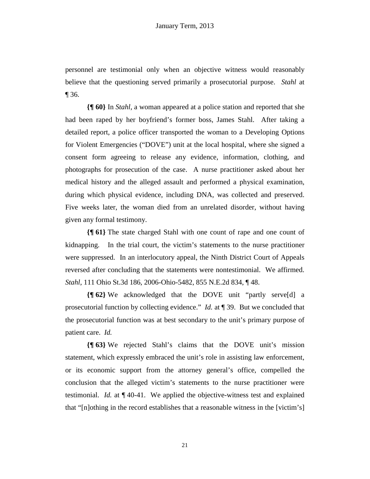personnel are testimonial only when an objective witness would reasonably believe that the questioning served primarily a prosecutorial purpose. *Stahl* at ¶ 36.

**{¶ 60}** In *Stahl*, a woman appeared at a police station and reported that she had been raped by her boyfriend's former boss, James Stahl. After taking a detailed report, a police officer transported the woman to a Developing Options for Violent Emergencies ("DOVE") unit at the local hospital, where she signed a consent form agreeing to release any evidence, information, clothing, and photographs for prosecution of the case. A nurse practitioner asked about her medical history and the alleged assault and performed a physical examination, during which physical evidence, including DNA, was collected and preserved. Five weeks later, the woman died from an unrelated disorder, without having given any formal testimony.

**{¶ 61}** The state charged Stahl with one count of rape and one count of kidnapping. In the trial court, the victim's statements to the nurse practitioner were suppressed. In an interlocutory appeal, the Ninth District Court of Appeals reversed after concluding that the statements were nontestimonial. We affirmed. *Stahl*, 111 Ohio St.3d 186, 2006-Ohio-5482, 855 N.E.2d 834, ¶ 48.

**{¶ 62}** We acknowledged that the DOVE unit "partly serve[d] a prosecutorial function by collecting evidence." *Id.* at ¶ 39. But we concluded that the prosecutorial function was at best secondary to the unit's primary purpose of patient care. *Id.* 

**{¶ 63}** We rejected Stahl's claims that the DOVE unit's mission statement, which expressly embraced the unit's role in assisting law enforcement, or its economic support from the attorney general's office, compelled the conclusion that the alleged victim's statements to the nurse practitioner were testimonial. *Id.* at ¶ 40-41. We applied the objective-witness test and explained that "[n]othing in the record establishes that a reasonable witness in the [victim's]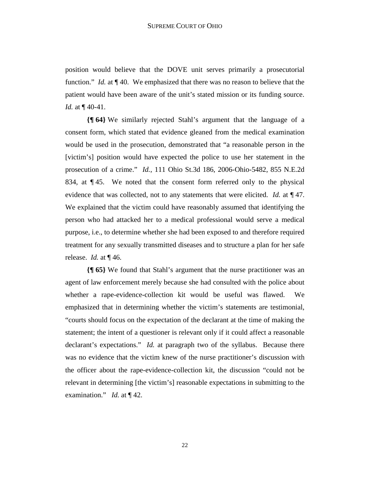position would believe that the DOVE unit serves primarily a prosecutorial function." *Id.* at ¶ 40. We emphasized that there was no reason to believe that the patient would have been aware of the unit's stated mission or its funding source. *Id.* at  $\P$  40-41.

**{¶ 64}** We similarly rejected Stahl's argument that the language of a consent form, which stated that evidence gleaned from the medical examination would be used in the prosecution, demonstrated that "a reasonable person in the [victim's] position would have expected the police to use her statement in the prosecution of a crime." *Id.*, 111 Ohio St.3d 186, 2006-Ohio-5482, 855 N.E.2d 834*,* at ¶ 45. We noted that the consent form referred only to the physical evidence that was collected, not to any statements that were elicited. *Id.* at ¶ 47. We explained that the victim could have reasonably assumed that identifying the person who had attacked her to a medical professional would serve a medical purpose, i.e., to determine whether she had been exposed to and therefore required treatment for any sexually transmitted diseases and to structure a plan for her safe release. *Id.* at ¶ 46.

**{¶ 65}** We found that Stahl's argument that the nurse practitioner was an agent of law enforcement merely because she had consulted with the police about whether a rape-evidence-collection kit would be useful was flawed. We emphasized that in determining whether the victim's statements are testimonial, "courts should focus on the expectation of the declarant at the time of making the statement; the intent of a questioner is relevant only if it could affect a reasonable declarant's expectations." *Id.* at paragraph two of the syllabus. Because there was no evidence that the victim knew of the nurse practitioner's discussion with the officer about the rape-evidence-collection kit, the discussion "could not be relevant in determining [the victim's] reasonable expectations in submitting to the examination." *Id.* at ¶ 42.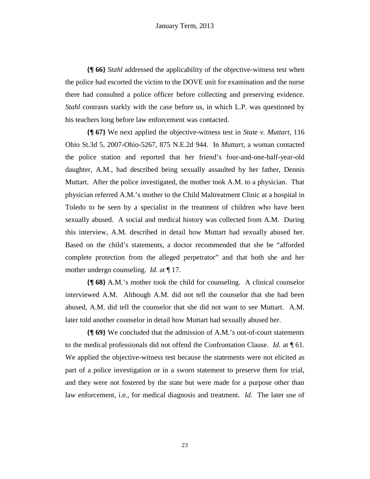**{¶ 66}** *Stahl* addressed the applicability of the objective-witness test when the police had escorted the victim to the DOVE unit for examination and the nurse there had consulted a police officer before collecting and preserving evidence. *Stahl* contrasts starkly with the case before us, in which L.P. was questioned by his teachers long before law enforcement was contacted.

**{¶ 67}** We next applied the objective-witness test in *State v. Muttart*, 116 Ohio St.3d 5, 2007-Ohio-5267, 875 N.E.2d 944. In *Muttart*, a woman contacted the police station and reported that her friend's four-and-one-half-year-old daughter, A.M., had described being sexually assaulted by her father, Dennis Muttart. After the police investigated, the mother took A.M. to a physician. That physician referred A.M.'s mother to the Child Maltreatment Clinic at a hospital in Toledo to be seen by a specialist in the treatment of children who have been sexually abused. A social and medical history was collected from A.M. During this interview, A.M. described in detail how Muttart had sexually abused her. Based on the child's statements, a doctor recommended that she be "afforded complete protection from the alleged perpetrator" and that both she and her mother undergo counseling. *Id.* at ¶ 17.

**{¶ 68}** A.M.'s mother took the child for counseling. A clinical counselor interviewed A.M. Although A.M. did not tell the counselor that she had been abused, A.M. did tell the counselor that she did not want to see Muttart. A.M. later told another counselor in detail how Muttart had sexually abused her.

**{¶ 69}** We concluded that the admission of A.M.'s out-of-court statements to the medical professionals did not offend the Confrontation Clause. *Id.* at ¶ 61. We applied the objective-witness test because the statements were not elicited as part of a police investigation or in a sworn statement to preserve them for trial, and they were not fostered by the state but were made for a purpose other than law enforcement, i.e., for medical diagnosis and treatment. *Id.* The later use of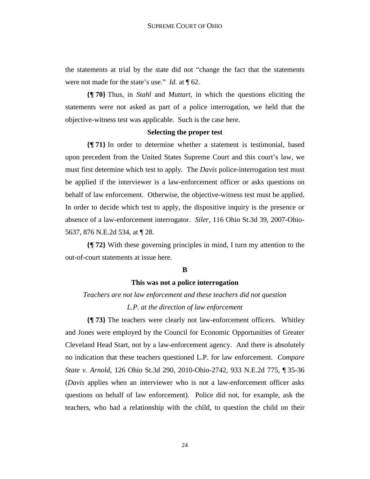the statements at trial by the state did not "change the fact that the statements were not made for the state's use." *Id.* at ¶ 62.

**{¶ 70}** Thus, in *Stahl* and *Muttart*, in which the questions eliciting the statements were not asked as part of a police interrogation, we held that the objective-witness test was applicable. Such is the case here.

#### **Selecting the proper test**

**{¶ 71}** In order to determine whether a statement is testimonial, based upon precedent from the United States Supreme Court and this court's law, we must first determine which test to apply. The *Davis* police-interrogation test must be applied if the interviewer is a law-enforcement officer or asks questions on behalf of law enforcement. Otherwise, the objective-witness test must be applied. In order to decide which test to apply, the dispositive inquiry is the presence or absence of a law-enforcement interrogator. *Siler*, 116 Ohio St.3d 39, 2007-Ohio-5637, 876 N.E.2d 534, at ¶ 28.

**{¶ 72}** With these governing principles in mind, I turn my attention to the out-of-court statements at issue here.

#### **B**

## **This was not a police interrogation**

*Teachers are not law enforcement and these teachers did not question L.P. at the direction of law enforcement* 

**{¶ 73}** The teachers were clearly not law-enforcement officers. Whitley and Jones were employed by the Council for Economic Opportunities of Greater Cleveland Head Start, not by a law-enforcement agency. And there is absolutely no indication that these teachers questioned L.P. for law enforcement. *Compare State v. Arnold*, 126 Ohio St.3d 290, 2010-Ohio-2742, 933 N.E.2d 775, ¶ 35-36 (*Davis* applies when an interviewer who is not a law-enforcement officer asks questions on behalf of law enforcement). Police did not, for example, ask the teachers, who had a relationship with the child, to question the child on their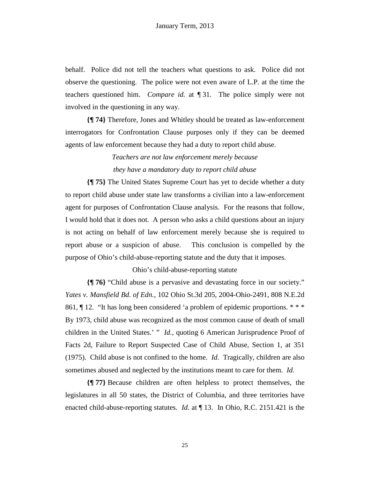behalf. Police did not tell the teachers what questions to ask. Police did not observe the questioning. The police were not even aware of L.P. at the time the teachers questioned him. *Compare id.* at ¶ 31.The police simply were not involved in the questioning in any way.

**{¶ 74}** Therefore, Jones and Whitley should be treated as law-enforcement interrogators for Confrontation Clause purposes only if they can be deemed agents of law enforcement because they had a duty to report child abuse.

# *Teachers are not law enforcement merely because they have a mandatory duty to report child abuse*

**{¶ 75}** The United States Supreme Court has yet to decide whether a duty to report child abuse under state law transforms a civilian into a law-enforcement agent for purposes of Confrontation Clause analysis. For the reasons that follow, I would hold that it does not. A person who asks a child questions about an injury is not acting on behalf of law enforcement merely because she is required to report abuse or a suspicion of abuse. This conclusion is compelled by the purpose of Ohio's child-abuse-reporting statute and the duty that it imposes.

## Ohio's child-abuse-reporting statute

**{¶ 76}** "Child abuse is a pervasive and devastating force in our society." *Yates v. Mansfield Bd. of Edn.,* 102 Ohio St.3d 205, 2004-Ohio-2491, 808 N.E.2d 861,  $\P$  12. "It has long been considered 'a problem of epidemic proportions. \*\*\* By 1973, child abuse was recognized as the most common cause of death of small children in the United States.' " *Id.*, quoting 6 American Jurisprudence Proof of Facts 2d, Failure to Report Suspected Case of Child Abuse, Section 1, at 351 (1975). Child abuse is not confined to the home. *Id.* Tragically, children are also sometimes abused and neglected by the institutions meant to care for them. *Id.*

**{¶ 77}** Because children are often helpless to protect themselves, the legislatures in all 50 states, the District of Columbia, and three territories have enacted child-abuse-reporting statutes. *Id.* at ¶ 13. In Ohio, R.C. 2151.421 is the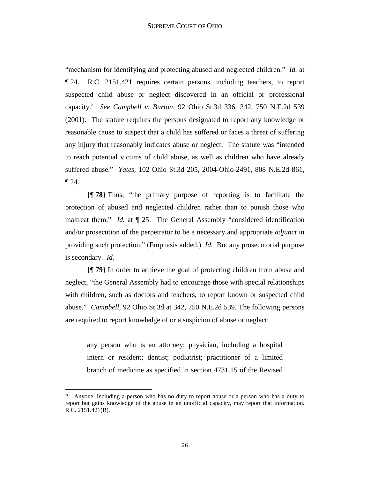"mechanism for identifying and protecting abused and neglected children." *Id.* at ¶ 24. R.C. 2151.421 requires certain persons, including teachers, to report suspected child abuse or neglect discovered in an official or professional capacity.<sup>2</sup> *See Campbell v. Burton*, 92 Ohio St.3d 336, 342, 750 N.E.2d 539 (2001). The statute requires the persons designated to report any knowledge or reasonable cause to suspect that a child has suffered or faces a threat of suffering any injury that reasonably indicates abuse or neglect. The statute was "intended to reach potential victims of child abuse, as well as children who have already suffered abuse." *Yates,* 102 Ohio St.3d 205, 2004-Ohio-2491, 808 N.E.2d 861*,*   $\P$  24.

**{¶ 78}** Thus, "the primary purpose of reporting is to facilitate the protection of abused and neglected children rather than to punish those who maltreat them." *Id.* at  $\P$  25. The General Assembly "considered identification and/or prosecution of the perpetrator to be a necessary and appropriate *adjunct* in providing such protection." (Emphasis added.) *Id.* But any prosecutorial purpose is secondary. *Id.*

**{¶ 79}** In order to achieve the goal of protecting children from abuse and neglect, "the General Assembly had to encourage those with special relationships with children, such as doctors and teachers, to report known or suspected child abuse." *Campbell*, 92 Ohio St.3d at 342, 750 N.E.2d 539. The following persons are required to report knowledge of or a suspicion of abuse or neglect:

any person who is an attorney; physician, including a hospital intern or resident; dentist; podiatrist; practitioner of a limited branch of medicine as specified in section 4731.15 of the Revised

 $\overline{a}$ 

<sup>2.</sup> Anyone, including a person who has no duty to report abuse or a person who has a duty to report but gains knowledge of the abuse in an unofficial capacity, may report that information. R.C. 2151.421(B).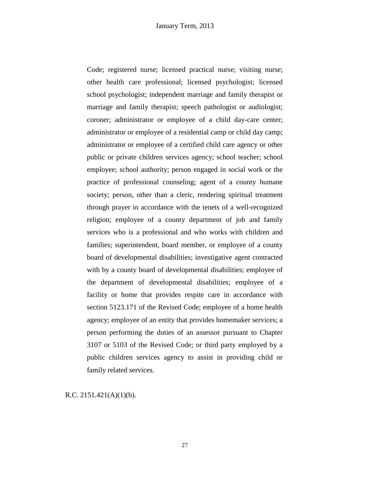Code; registered nurse; licensed practical nurse; visiting nurse; other health care professional; licensed psychologist; licensed school psychologist; independent marriage and family therapist or marriage and family therapist; speech pathologist or audiologist; coroner; administrator or employee of a child day-care center; administrator or employee of a residential camp or child day camp; administrator or employee of a certified child care agency or other public or private children services agency; school teacher; school employee; school authority; person engaged in social work or the practice of professional counseling; agent of a county humane society; person, other than a cleric, rendering spiritual treatment through prayer in accordance with the tenets of a well-recognized religion; employee of a county department of job and family services who is a professional and who works with children and families; superintendent, board member, or employee of a county board of developmental disabilities; investigative agent contracted with by a county board of developmental disabilities; employee of the department of developmental disabilities; employee of a facility or home that provides respite care in accordance with section 5123.171 of the Revised Code; employee of a home health agency; employee of an entity that provides homemaker services; a person performing the duties of an assessor pursuant to Chapter 3107 or 5103 of the Revised Code; or third party employed by a public children services agency to assist in providing child or family related services.

R.C.  $2151.421(A)(1)(b)$ .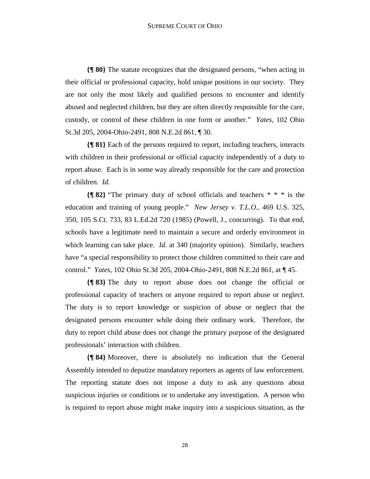**{¶ 80}** The statute recognizes that the designated persons, "when acting in their official or professional capacity, hold unique positions in our society. They are not only the most likely and qualified persons to encounter and identify abused and neglected children, but they are often directly responsible for the care, custody, or control of these children in one form or another." *Yates,* 102 Ohio St.3d 205, 2004-Ohio-2491, 808 N.E.2d 861*,* ¶ 30.

**{¶ 81}** Each of the persons required to report, including teachers, interacts with children in their professional or official capacity independently of a duty to report abuse. Each is in some way already responsible for the care and protection of children. *Id.*

**{¶ 82}** "The primary duty of school officials and teachers \* \* \* is the education and training of young people." *New Jersey v. T.L.O.*, 469 U.S. 325, 350, 105 S.Ct. 733, 83 L.Ed.2d 720 (1985) (Powell, J., concurring). To that end, schools have a legitimate need to maintain a secure and orderly environment in which learning can take place. *Id.* at 340 (majority opinion). Similarly, teachers have "a special responsibility to protect those children committed to their care and control." *Yates*, 102 Ohio St.3d 205, 2004-Ohio-2491, 808 N.E.2d 861, at ¶ 45.

**{¶ 83}** The duty to report abuse does not change the official or professional capacity of teachers or anyone required to report abuse or neglect. The duty is to report knowledge or suspicion of abuse or neglect that the designated persons encounter while doing their ordinary work. Therefore, the duty to report child abuse does not change the primary purpose of the designated professionals' interaction with children.

**{¶ 84}** Moreover, there is absolutely no indication that the General Assembly intended to deputize mandatory reporters as agents of law enforcement. The reporting statute does not impose a duty to ask any questions about suspicious injuries or conditions or to undertake any investigation. A person who is required to report abuse might make inquiry into a suspicious situation, as the

28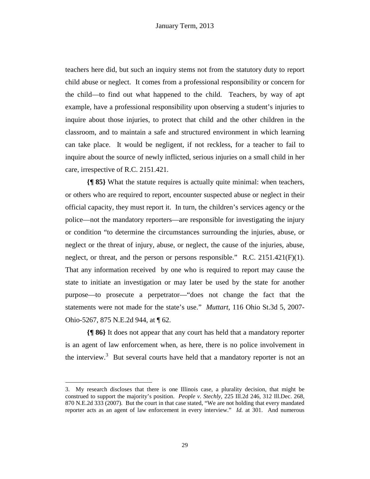teachers here did, but such an inquiry stems not from the statutory duty to report child abuse or neglect. It comes from a professional responsibility or concern for the child—to find out what happened to the child. Teachers, by way of apt example, have a professional responsibility upon observing a student's injuries to inquire about those injuries, to protect that child and the other children in the classroom, and to maintain a safe and structured environment in which learning can take place. It would be negligent, if not reckless, for a teacher to fail to inquire about the source of newly inflicted, serious injuries on a small child in her care, irrespective of R.C. 2151.421.

**{¶ 85}** What the statute requires is actually quite minimal: when teachers, or others who are required to report, encounter suspected abuse or neglect in their official capacity, they must report it. In turn, the children's services agency or the police—not the mandatory reporters—are responsible for investigating the injury or condition "to determine the circumstances surrounding the injuries, abuse, or neglect or the threat of injury, abuse, or neglect, the cause of the injuries, abuse, neglect, or threat, and the person or persons responsible." R.C.  $2151.421(F)(1)$ . That any information received by one who is required to report may cause the state to initiate an investigation or may later be used by the state for another purpose—to prosecute a perpetrator—"does not change the fact that the statements were not made for the state's use." *Muttart,* 116 Ohio St.3d 5, 2007- Ohio-5267, 875 N.E.2d 944, at ¶ 62.

**{¶ 86}** It does not appear that any court has held that a mandatory reporter is an agent of law enforcement when, as here, there is no police involvement in the interview.<sup>3</sup> But several courts have held that a mandatory reporter is not an

1

<sup>3.</sup> My research discloses that there is one Illinois case, a plurality decision, that might be construed to support the majority's position. *People v. Stechly*, 225 Ill.2d 246, 312 Ill.Dec. 268, 870 N.E.2d 333 (2007). But the court in that case stated, "We are not holding that every mandated reporter acts as an agent of law enforcement in every interview." *Id.* at 301. And numerous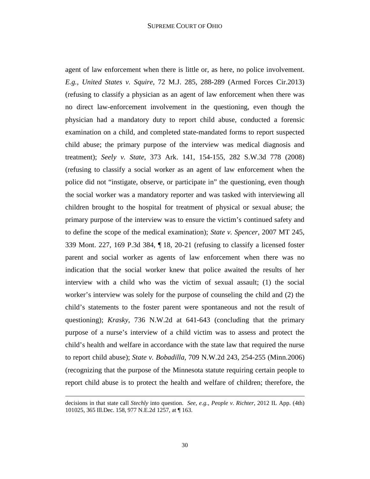agent of law enforcement when there is little or, as here, no police involvement. *E.g., United States v. Squire*, 72 M.J. 285, 288-289 (Armed Forces Cir.2013) (refusing to classify a physician as an agent of law enforcement when there was no direct law-enforcement involvement in the questioning, even though the physician had a mandatory duty to report child abuse, conducted a forensic examination on a child, and completed state-mandated forms to report suspected child abuse; the primary purpose of the interview was medical diagnosis and treatment); *Seely v. State*, 373 Ark. 141, 154-155, 282 S.W.3d 778 (2008) (refusing to classify a social worker as an agent of law enforcement when the police did not "instigate, observe, or participate in" the questioning, even though the social worker was a mandatory reporter and was tasked with interviewing all children brought to the hospital for treatment of physical or sexual abuse; the primary purpose of the interview was to ensure the victim's continued safety and to define the scope of the medical examination); *State v. Spencer*, 2007 MT 245, 339 Mont. 227, 169 P.3d 384, ¶ 18, 20-21 (refusing to classify a licensed foster parent and social worker as agents of law enforcement when there was no indication that the social worker knew that police awaited the results of her interview with a child who was the victim of sexual assault; (1) the social worker's interview was solely for the purpose of counseling the child and (2) the child's statements to the foster parent were spontaneous and not the result of questioning); *Krasky*, 736 N.W.2d at 641-643 (concluding that the primary purpose of a nurse's interview of a child victim was to assess and protect the child's health and welfare in accordance with the state law that required the nurse to report child abuse); *State v. Bobadilla*, 709 N.W.2d 243, 254-255 (Minn.2006) (recognizing that the purpose of the Minnesota statute requiring certain people to report child abuse is to protect the health and welfare of children; therefore, the

decisions in that state call *Stechly* into question. *See, e.g., People v. Richter*, 2012 IL App. (4th) 101025, 365 Ill.Dec. 158, 977 N.E.2d 1257, at ¶ 163.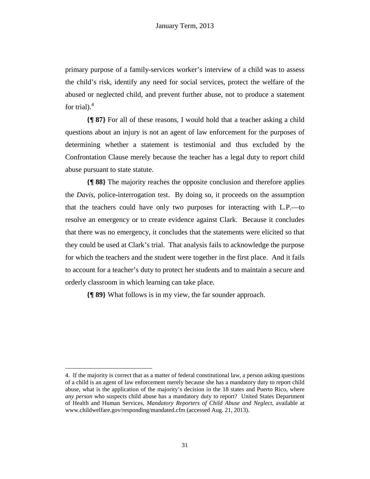primary purpose of a family-services worker's interview of a child was to assess the child's risk, identify any need for social services, protect the welfare of the abused or neglected child, and prevent further abuse, not to produce a statement for trial). $<sup>4</sup>$ </sup>

**{¶ 87}** For all of these reasons, I would hold that a teacher asking a child questions about an injury is not an agent of law enforcement for the purposes of determining whether a statement is testimonial and thus excluded by the Confrontation Clause merely because the teacher has a legal duty to report child abuse pursuant to state statute.

**{¶ 88}** The majority reaches the opposite conclusion and therefore applies the *Davis*, police-interrogation test. By doing so, it proceeds on the assumption that the teachers could have only two purposes for interacting with L.P.—to resolve an emergency or to create evidence against Clark. Because it concludes that there was no emergency, it concludes that the statements were elicited so that they could be used at Clark's trial. That analysis fails to acknowledge the purpose for which the teachers and the student were together in the first place. And it fails to account for a teacher's duty to protect her students and to maintain a secure and orderly classroom in which learning can take place.

**{¶ 89}** What follows is in my view, the far sounder approach.

 $\overline{a}$ 

<sup>4.</sup> If the majority is correct that as a matter of federal constitutional law, a person asking questions of a child is an agent of law enforcement merely because she has a mandatory duty to report child abuse, what is the application of the majority's decision in the 18 states and Puerto Rico, where *any person* who suspects child abuse has a mandatory duty to report? United States Department of Health and Human Services, *Mandatory Reporters of Child Abuse and Neglect,* available at www.childwelfare.gov/responding/mandated.cfm (accessed Aug. 21, 2013).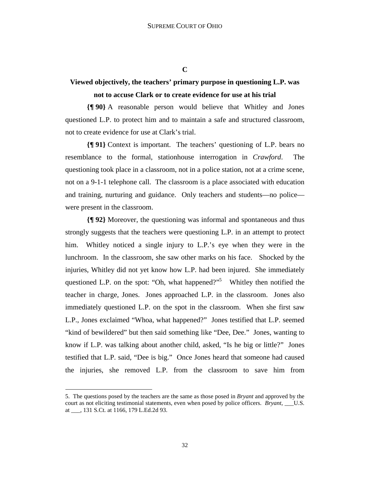## **C**

## **Viewed objectively, the teachers' primary purpose in questioning L.P. was not to accuse Clark or to create evidence for use at his trial**

**{¶ 90}** A reasonable person would believe that Whitley and Jones questioned L.P. to protect him and to maintain a safe and structured classroom, not to create evidence for use at Clark's trial.

**{¶ 91}** Context is important. The teachers' questioning of L.P. bears no resemblance to the formal, stationhouse interrogation in *Crawford*. The questioning took place in a classroom, not in a police station, not at a crime scene, not on a 9-1-1 telephone call. The classroom is a place associated with education and training, nurturing and guidance. Only teachers and students—no police were present in the classroom.

**{¶ 92}** Moreover, the questioning was informal and spontaneous and thus strongly suggests that the teachers were questioning L.P. in an attempt to protect him. Whitley noticed a single injury to L.P.'s eye when they were in the lunchroom. In the classroom, she saw other marks on his face. Shocked by the injuries, Whitley did not yet know how L.P. had been injured. She immediately questioned L.P. on the spot: "Oh, what happened?"<sup>5</sup> Whitley then notified the teacher in charge, Jones. Jones approached L.P. in the classroom. Jones also immediately questioned L.P. on the spot in the classroom. When she first saw L.P., Jones exclaimed "Whoa, what happened?" Jones testified that L.P. seemed "kind of bewildered" but then said something like "Dee, Dee." Jones, wanting to know if L.P. was talking about another child, asked, "Is he big or little?" Jones testified that L.P. said, "Dee is big." Once Jones heard that someone had caused the injuries, she removed L.P. from the classroom to save him from

1

<sup>5.</sup> The questions posed by the teachers are the same as those posed in *Bryant* and approved by the court as not eliciting testimonial statements, even when posed by police officers. *Bryant*, U.S. at \_\_\_, 131 S.Ct. at 1166, 179 L.Ed.2d 93.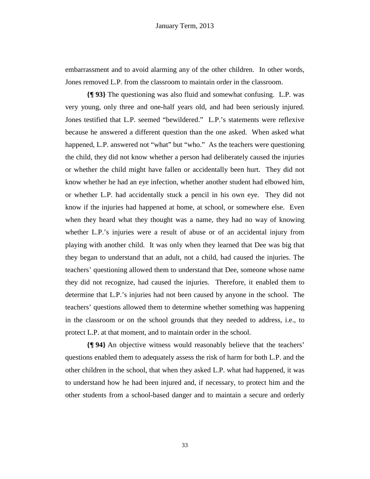embarrassment and to avoid alarming any of the other children. In other words, Jones removed L.P. from the classroom to maintain order in the classroom.

**{¶ 93}** The questioning was also fluid and somewhat confusing. L.P. was very young, only three and one-half years old, and had been seriously injured. Jones testified that L.P. seemed "bewildered." L.P.'s statements were reflexive because he answered a different question than the one asked. When asked what happened, L.P. answered not "what" but "who." As the teachers were questioning the child, they did not know whether a person had deliberately caused the injuries or whether the child might have fallen or accidentally been hurt. They did not know whether he had an eye infection, whether another student had elbowed him, or whether L.P. had accidentally stuck a pencil in his own eye. They did not know if the injuries had happened at home, at school, or somewhere else. Even when they heard what they thought was a name, they had no way of knowing whether L.P.'s injuries were a result of abuse or of an accidental injury from playing with another child. It was only when they learned that Dee was big that they began to understand that an adult, not a child, had caused the injuries. The teachers' questioning allowed them to understand that Dee, someone whose name they did not recognize, had caused the injuries. Therefore, it enabled them to determine that L.P.'s injuries had not been caused by anyone in the school. The teachers' questions allowed them to determine whether something was happening in the classroom or on the school grounds that they needed to address, i.e., to protect L.P. at that moment, and to maintain order in the school.

**{¶ 94}** An objective witness would reasonably believe that the teachers' questions enabled them to adequately assess the risk of harm for both L.P. and the other children in the school, that when they asked L.P. what had happened, it was to understand how he had been injured and, if necessary, to protect him and the other students from a school-based danger and to maintain a secure and orderly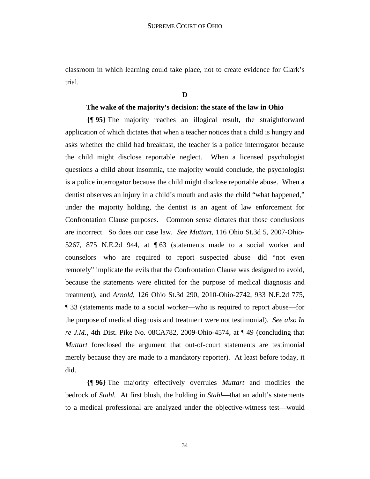classroom in which learning could take place, not to create evidence for Clark's trial.

**D** 

## **The wake of the majority's decision: the state of the law in Ohio**

**{¶ 95}** The majority reaches an illogical result, the straightforward application of which dictates that when a teacher notices that a child is hungry and asks whether the child had breakfast, the teacher is a police interrogator because the child might disclose reportable neglect. When a licensed psychologist questions a child about insomnia, the majority would conclude, the psychologist is a police interrogator because the child might disclose reportable abuse. When a dentist observes an injury in a child's mouth and asks the child "what happened," under the majority holding, the dentist is an agent of law enforcement for Confrontation Clause purposes. Common sense dictates that those conclusions are incorrect. So does our case law. *See Muttart*, 116 Ohio St.3d 5, 2007-Ohio-5267, 875 N.E.2d 944, at ¶ 63 (statements made to a social worker and counselors—who are required to report suspected abuse—did "not even remotely" implicate the evils that the Confrontation Clause was designed to avoid, because the statements were elicited for the purpose of medical diagnosis and treatment), and *Arnold*, 126 Ohio St.3d 290, 2010-Ohio-2742, 933 N.E.2d 775, ¶ 33 (statements made to a social worker—who is required to report abuse—for the purpose of medical diagnosis and treatment were not testimonial). *See also In re J.M.*, 4th Dist. Pike No. 08CA782, 2009-Ohio-4574, at ¶ 49 (concluding that *Muttart* foreclosed the argument that out-of-court statements are testimonial merely because they are made to a mandatory reporter). At least before today, it did.

**{¶ 96}** The majority effectively overrules *Muttart* and modifies the bedrock of *Stahl.* At first blush, the holding in *Stahl*—that an adult's statements to a medical professional are analyzed under the objective-witness test—would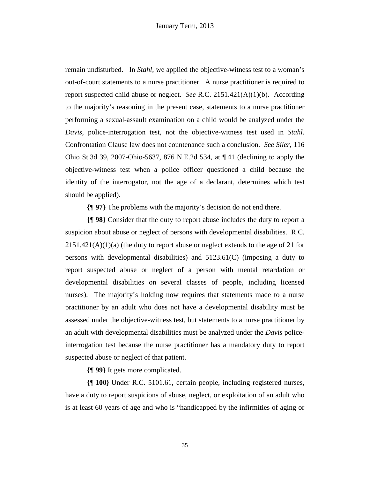remain undisturbed. In *Stahl,* we applied the objective-witness test to a woman's out-of-court statements to a nurse practitioner. A nurse practitioner is required to report suspected child abuse or neglect. *See* R.C. 2151.421(A)(1)(b). According to the majority's reasoning in the present case, statements to a nurse practitioner performing a sexual-assault examination on a child would be analyzed under the *Davis*, police-interrogation test, not the objective-witness test used in *Stahl*. Confrontation Clause law does not countenance such a conclusion. *See Siler*, 116 Ohio St.3d 39, 2007-Ohio-5637, 876 N.E.2d 534, at ¶ 41 (declining to apply the objective-witness test when a police officer questioned a child because the identity of the interrogator, not the age of a declarant, determines which test should be applied).

**{¶ 97}** The problems with the majority's decision do not end there.

**{¶ 98}** Consider that the duty to report abuse includes the duty to report a suspicion about abuse or neglect of persons with developmental disabilities. R.C.  $2151.421(A)(1)(a)$  (the duty to report abuse or neglect extends to the age of 21 for persons with developmental disabilities) and 5123.61(C) (imposing a duty to report suspected abuse or neglect of a person with mental retardation or developmental disabilities on several classes of people, including licensed nurses). The majority's holding now requires that statements made to a nurse practitioner by an adult who does not have a developmental disability must be assessed under the objective-witness test, but statements to a nurse practitioner by an adult with developmental disabilities must be analyzed under the *Davis* policeinterrogation test because the nurse practitioner has a mandatory duty to report suspected abuse or neglect of that patient.

**{¶ 99}** It gets more complicated.

**{¶ 100}** Under R.C. 5101.61, certain people, including registered nurses, have a duty to report suspicions of abuse, neglect, or exploitation of an adult who is at least 60 years of age and who is "handicapped by the infirmities of aging or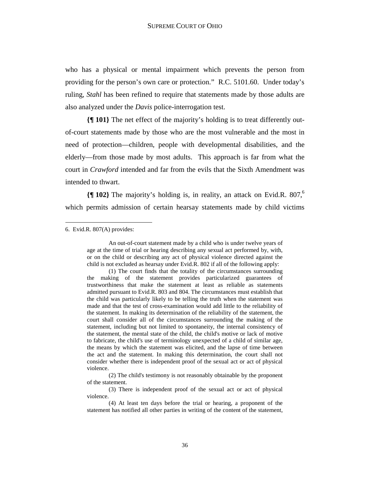who has a physical or mental impairment which prevents the person from providing for the person's own care or protection." R.C. 5101.60. Under today's ruling, *Stahl* has been refined to require that statements made by those adults are also analyzed under the *Davis* police-interrogation test.

**{¶ 101}** The net effect of the majority's holding is to treat differently outof-court statements made by those who are the most vulnerable and the most in need of protection—children, people with developmental disabilities, and the elderly—from those made by most adults. This approach is far from what the court in *Crawford* intended and far from the evils that the Sixth Amendment was intended to thwart.

**{[102}** The majority's holding is, in reality, an attack on Evid.R. 807,<sup>6</sup> which permits admission of certain hearsay statements made by child victims

6. Evid.R. 807(A) provides:

1

An out-of-court statement made by a child who is under twelve years of age at the time of trial or hearing describing any sexual act performed by, with, or on the child or describing any act of physical violence directed against the child is not excluded as hearsay under Evid.R. 802 if all of the following apply:

<sup>(1)</sup> The court finds that the totality of the circumstances surrounding the making of the statement provides particularized guarantees of trustworthiness that make the statement at least as reliable as statements admitted pursuant to Evid.R. 803 and 804. The circumstances must establish that the child was particularly likely to be telling the truth when the statement was made and that the test of cross-examination would add little to the reliability of the statement. In making its determination of the reliability of the statement, the court shall consider all of the circumstances surrounding the making of the statement, including but not limited to spontaneity, the internal consistency of the statement, the mental state of the child, the child's motive or lack of motive to fabricate, the child's use of terminology unexpected of a child of similar age, the means by which the statement was elicited, and the lapse of time between the act and the statement. In making this determination, the court shall not consider whether there is independent proof of the sexual act or act of physical violence.

<sup>(2)</sup> The child's testimony is not reasonably obtainable by the proponent of the statement.

<sup>(3)</sup> There is independent proof of the sexual act or act of physical violence.

<sup>(4)</sup> At least ten days before the trial or hearing, a proponent of the statement has notified all other parties in writing of the content of the statement,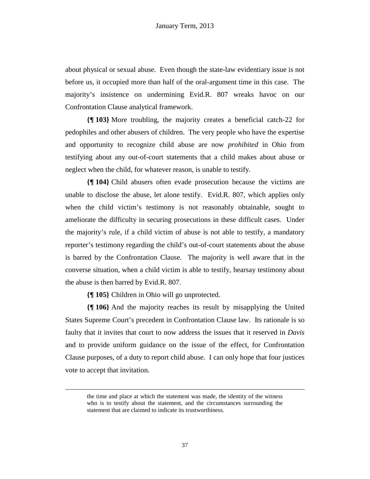about physical or sexual abuse. Even though the state-law evidentiary issue is not before us, it occupied more than half of the oral-argument time in this case. The majority's insistence on undermining Evid.R. 807 wreaks havoc on our Confrontation Clause analytical framework.

**{¶ 103}** More troubling, the majority creates a beneficial catch-22 for pedophiles and other abusers of children. The very people who have the expertise and opportunity to recognize child abuse are now *prohibited* in Ohio from testifying about any out-of-court statements that a child makes about abuse or neglect when the child, for whatever reason, is unable to testify.

**{¶ 104}** Child abusers often evade prosecution because the victims are unable to disclose the abuse, let alone testify. Evid.R. 807, which applies only when the child victim's testimony is not reasonably obtainable, sought to ameliorate the difficulty in securing prosecutions in these difficult cases. Under the majority's rule, if a child victim of abuse is not able to testify, a mandatory reporter's testimony regarding the child's out-of-court statements about the abuse is barred by the Confrontation Clause. The majority is well aware that in the converse situation, when a child victim is able to testify, hearsay testimony about the abuse is then barred by Evid.R. 807.

**{¶ 105}** Children in Ohio will go unprotected.

 $\overline{a}$ 

**{¶ 106}** And the majority reaches its result by misapplying the United States Supreme Court's precedent in Confrontation Clause law. Its rationale is so faulty that it invites that court to now address the issues that it reserved in *Davis*  and to provide uniform guidance on the issue of the effect, for Confrontation Clause purposes, of a duty to report child abuse. I can only hope that four justices vote to accept that invitation.

the time and place at which the statement was made, the identity of the witness who is to testify about the statement, and the circumstances surrounding the statement that are claimed to indicate its trustworthiness.